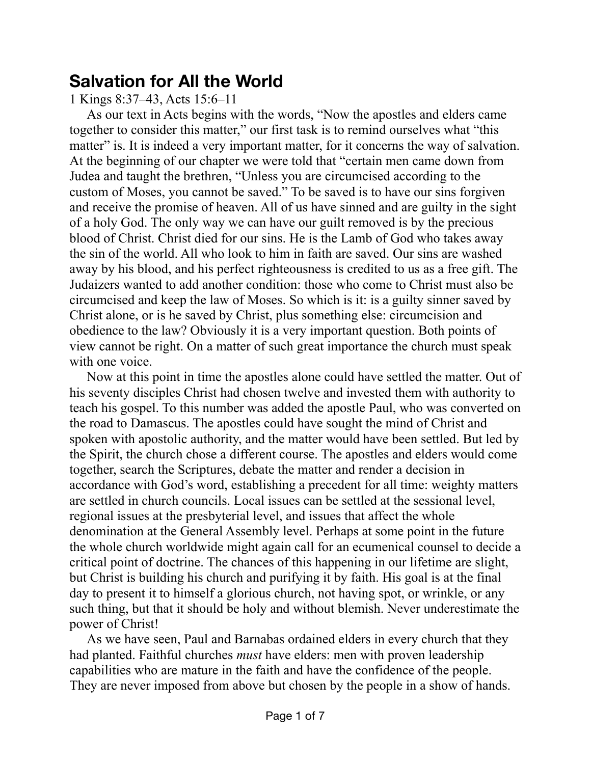## **Salvation for All the World**

1 Kings 8:37–43, Acts 15:6–11

As our text in Acts begins with the words, "Now the apostles and elders came together to consider this matter," our first task is to remind ourselves what "this matter" is. It is indeed a very important matter, for it concerns the way of salvation. At the beginning of our chapter we were told that "certain men came down from Judea and taught the brethren, "Unless you are circumcised according to the custom of Moses, you cannot be saved." To be saved is to have our sins forgiven and receive the promise of heaven. All of us have sinned and are guilty in the sight of a holy God. The only way we can have our guilt removed is by the precious blood of Christ. Christ died for our sins. He is the Lamb of God who takes away the sin of the world. All who look to him in faith are saved. Our sins are washed away by his blood, and his perfect righteousness is credited to us as a free gift. The Judaizers wanted to add another condition: those who come to Christ must also be circumcised and keep the law of Moses. So which is it: is a guilty sinner saved by Christ alone, or is he saved by Christ, plus something else: circumcision and obedience to the law? Obviously it is a very important question. Both points of view cannot be right. On a matter of such great importance the church must speak with one voice.

Now at this point in time the apostles alone could have settled the matter. Out of his seventy disciples Christ had chosen twelve and invested them with authority to teach his gospel. To this number was added the apostle Paul, who was converted on the road to Damascus. The apostles could have sought the mind of Christ and spoken with apostolic authority, and the matter would have been settled. But led by the Spirit, the church chose a different course. The apostles and elders would come together, search the Scriptures, debate the matter and render a decision in accordance with God's word, establishing a precedent for all time: weighty matters are settled in church councils. Local issues can be settled at the sessional level, regional issues at the presbyterial level, and issues that affect the whole denomination at the General Assembly level. Perhaps at some point in the future the whole church worldwide might again call for an ecumenical counsel to decide a critical point of doctrine. The chances of this happening in our lifetime are slight, but Christ is building his church and purifying it by faith. His goal is at the final day to present it to himself a glorious church, not having spot, or wrinkle, or any such thing, but that it should be holy and without blemish. Never underestimate the power of Christ!

As we have seen, Paul and Barnabas ordained elders in every church that they had planted. Faithful churches *must* have elders: men with proven leadership capabilities who are mature in the faith and have the confidence of the people. They are never imposed from above but chosen by the people in a show of hands.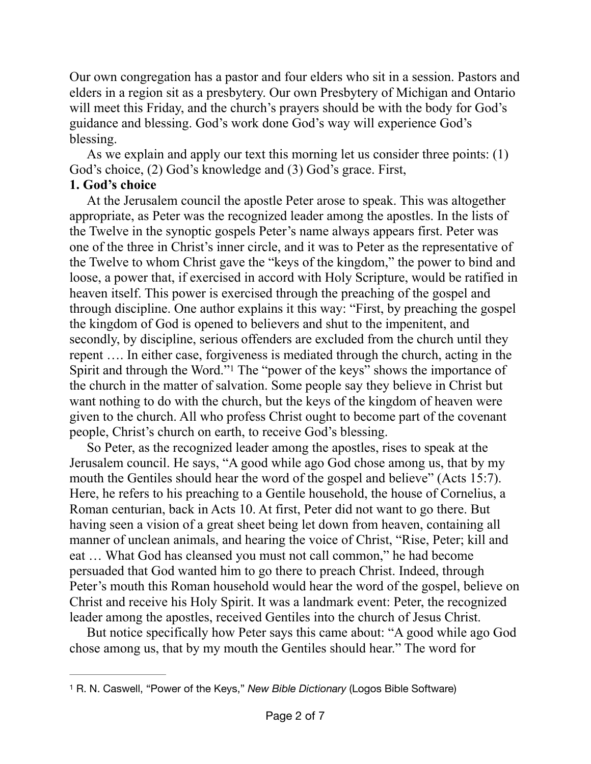Our own congregation has a pastor and four elders who sit in a session. Pastors and elders in a region sit as a presbytery. Our own Presbytery of Michigan and Ontario will meet this Friday, and the church's prayers should be with the body for God's guidance and blessing. God's work done God's way will experience God's blessing.

As we explain and apply our text this morning let us consider three points: (1) God's choice, (2) God's knowledge and (3) God's grace. First,

## **1. God's choice**

At the Jerusalem council the apostle Peter arose to speak. This was altogether appropriate, as Peter was the recognized leader among the apostles. In the lists of the Twelve in the synoptic gospels Peter's name always appears first. Peter was one of the three in Christ's inner circle, and it was to Peter as the representative of the Twelve to whom Christ gave the "keys of the kingdom," the power to bind and loose, a power that, if exercised in accord with Holy Scripture, would be ratified in heaven itself. This power is exercised through the preaching of the gospel and through discipline. One author explains it this way: "First, by preaching the gospel the kingdom of God is opened to believers and shut to the impenitent, and secondly, by discipline, serious offenders are excluded from the church until they repent …. In either case, forgiveness is mediated through the church, acting in the Spirit and through the Word."<sup>1</sup> The "power of the keys["](#page-1-0) shows the importance of the church in the matter of salvation. Some people say they believe in Christ but want nothing to do with the church, but the keys of the kingdom of heaven were given to the church. All who profess Christ ought to become part of the covenant people, Christ's church on earth, to receive God's blessing.

<span id="page-1-1"></span>So Peter, as the recognized leader among the apostles, rises to speak at the Jerusalem council. He says, "A good while ago God chose among us, that by my mouth the Gentiles should hear the word of the gospel and believe" (Acts 15:7). Here, he refers to his preaching to a Gentile household, the house of Cornelius, a Roman centurian, back in Acts 10. At first, Peter did not want to go there. But having seen a vision of a great sheet being let down from heaven, containing all manner of unclean animals, and hearing the voice of Christ, "Rise, Peter; kill and eat … What God has cleansed you must not call common," he had become persuaded that God wanted him to go there to preach Christ. Indeed, through Peter's mouth this Roman household would hear the word of the gospel, believe on Christ and receive his Holy Spirit. It was a landmark event: Peter, the recognized leader among the apostles, received Gentiles into the church of Jesus Christ.

But notice specifically how Peter says this came about: "A good while ago God chose among us, that by my mouth the Gentiles should hear." The word for

<span id="page-1-0"></span><sup>&</sup>lt;sup>[1](#page-1-1)</sup> R. N. Caswell, "Power of the Keys," *New Bible Dictionary* (Logos Bible Software)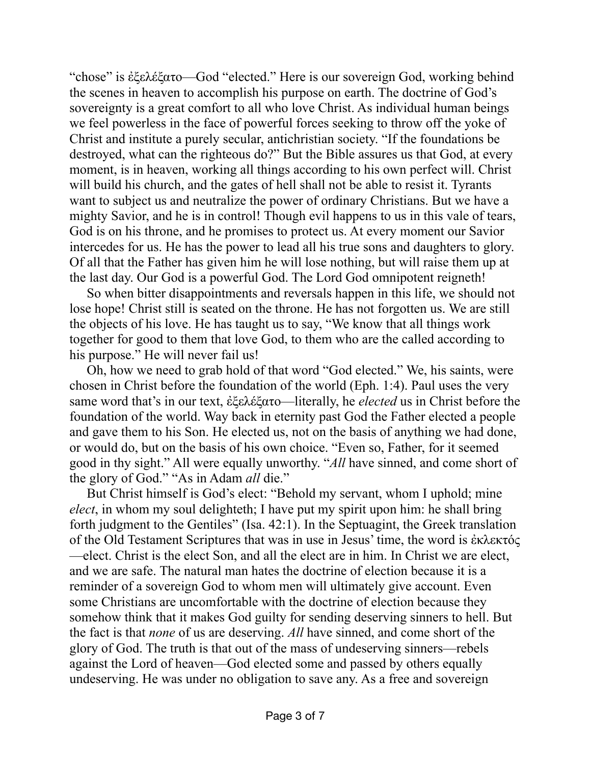"chose" is ἐξελέξατο—God "elected." Here is our sovereign God, working behind the scenes in heaven to accomplish his purpose on earth. The doctrine of God's sovereignty is a great comfort to all who love Christ. As individual human beings we feel powerless in the face of powerful forces seeking to throw off the yoke of Christ and institute a purely secular, antichristian society. "If the foundations be destroyed, what can the righteous do?" But the Bible assures us that God, at every moment, is in heaven, working all things according to his own perfect will. Christ will build his church, and the gates of hell shall not be able to resist it. Tyrants want to subject us and neutralize the power of ordinary Christians. But we have a mighty Savior, and he is in control! Though evil happens to us in this vale of tears, God is on his throne, and he promises to protect us. At every moment our Savior intercedes for us. He has the power to lead all his true sons and daughters to glory. Of all that the Father has given him he will lose nothing, but will raise them up at the last day. Our God is a powerful God. The Lord God omnipotent reigneth!

So when bitter disappointments and reversals happen in this life, we should not lose hope! Christ still is seated on the throne. He has not forgotten us. We are still the objects of his love. He has taught us to say, "We know that all things work together for good to them that love God, to them who are the called according to his purpose." He will never fail us!

Oh, how we need to grab hold of that word "God elected." We, his saints, were chosen in Christ before the foundation of the world (Eph. 1:4). Paul uses the very same word that's in our text, ἐξελέξατο—literally, he *elected* us in Christ before the foundation of the world. Way back in eternity past God the Father elected a people and gave them to his Son. He elected us, not on the basis of anything we had done, or would do, but on the basis of his own choice. "Even so, Father, for it seemed good in thy sight." All were equally unworthy. "*All* have sinned, and come short of the glory of God." "As in Adam *all* die."

But Christ himself is God's elect: "Behold my servant, whom I uphold; mine *elect*, in whom my soul delighteth; I have put my spirit upon him: he shall bring forth judgment to the Gentiles" (Isa. 42:1). In the Septuagint, the Greek translation of the Old Testament Scriptures that was in use in Jesus' time, the word is ἐκλεκτός —elect. Christ is the elect Son, and all the elect are in him. In Christ we are elect, and we are safe. The natural man hates the doctrine of election because it is a reminder of a sovereign God to whom men will ultimately give account. Even some Christians are uncomfortable with the doctrine of election because they somehow think that it makes God guilty for sending deserving sinners to hell. But the fact is that *none* of us are deserving. *All* have sinned, and come short of the glory of God. The truth is that out of the mass of undeserving sinners—rebels against the Lord of heaven—God elected some and passed by others equally undeserving. He was under no obligation to save any. As a free and sovereign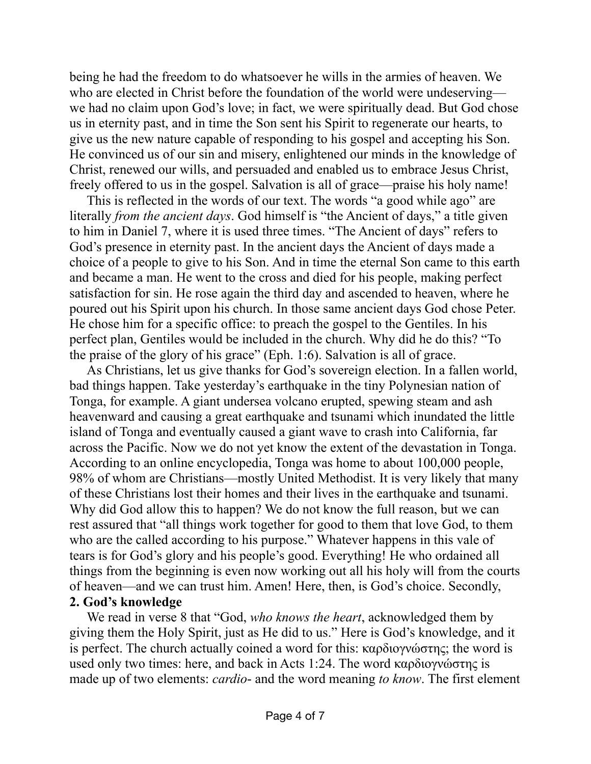being he had the freedom to do whatsoever he wills in the armies of heaven. We who are elected in Christ before the foundation of the world were undeserving we had no claim upon God's love; in fact, we were spiritually dead. But God chose us in eternity past, and in time the Son sent his Spirit to regenerate our hearts, to give us the new nature capable of responding to his gospel and accepting his Son. He convinced us of our sin and misery, enlightened our minds in the knowledge of Christ, renewed our wills, and persuaded and enabled us to embrace Jesus Christ, freely offered to us in the gospel. Salvation is all of grace—praise his holy name!

This is reflected in the words of our text. The words "a good while ago" are literally *from the ancient days*. God himself is "the Ancient of days," a title given to him in Daniel 7, where it is used three times. "The Ancient of days" refers to God's presence in eternity past. In the ancient days the Ancient of days made a choice of a people to give to his Son. And in time the eternal Son came to this earth and became a man. He went to the cross and died for his people, making perfect satisfaction for sin. He rose again the third day and ascended to heaven, where he poured out his Spirit upon his church. In those same ancient days God chose Peter. He chose him for a specific office: to preach the gospel to the Gentiles. In his perfect plan, Gentiles would be included in the church. Why did he do this? "To the praise of the glory of his grace" (Eph. 1:6). Salvation is all of grace.

As Christians, let us give thanks for God's sovereign election. In a fallen world, bad things happen. Take yesterday's earthquake in the tiny Polynesian nation of Tonga, for example. A giant undersea volcano erupted, spewing steam and ash heavenward and causing a great earthquake and tsunami which inundated the little island of Tonga and eventually caused a giant wave to crash into California, far across the Pacific. Now we do not yet know the extent of the devastation in Tonga. According to an online encyclopedia, Tonga was home to about 100,000 people, 98% of whom are Christians—mostly United Methodist. It is very likely that many of these Christians lost their homes and their lives in the earthquake and tsunami. Why did God allow this to happen? We do not know the full reason, but we can rest assured that "all things work together for good to them that love God, to them who are the called according to his purpose." Whatever happens in this vale of tears is for God's glory and his people's good. Everything! He who ordained all things from the beginning is even now working out all his holy will from the courts of heaven—and we can trust him. Amen! Here, then, is God's choice. Secondly, **2. God's knowledge**

We read in verse 8 that "God, *who knows the heart*, acknowledged them by giving them the Holy Spirit, just as He did to us." Here is God's knowledge, and it is perfect. The church actually coined a word for this: καρδιογνώστης; the word is used only two times: here, and back in Acts 1:24. The word καρδιογνώστης is made up of two elements: *cardio*- and the word meaning *to know*. The first element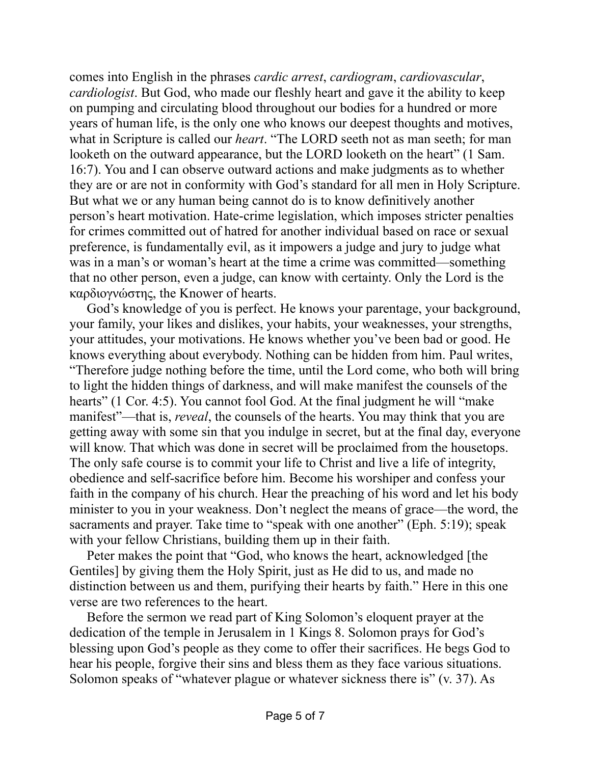comes into English in the phrases *cardic arrest*, *cardiogram*, *cardiovascular*, *cardiologist*. But God, who made our fleshly heart and gave it the ability to keep on pumping and circulating blood throughout our bodies for a hundred or more years of human life, is the only one who knows our deepest thoughts and motives, what in Scripture is called our *heart*. "The LORD seeth not as man seeth; for man looketh on the outward appearance, but the LORD looketh on the heart" (1 Sam. 16:7). You and I can observe outward actions and make judgments as to whether they are or are not in conformity with God's standard for all men in Holy Scripture. But what we or any human being cannot do is to know definitively another person's heart motivation. Hate-crime legislation, which imposes stricter penalties for crimes committed out of hatred for another individual based on race or sexual preference, is fundamentally evil, as it impowers a judge and jury to judge what was in a man's or woman's heart at the time a crime was committed—something that no other person, even a judge, can know with certainty. Only the Lord is the καρδιογνώστης, the Knower of hearts.

God's knowledge of you is perfect. He knows your parentage, your background, your family, your likes and dislikes, your habits, your weaknesses, your strengths, your attitudes, your motivations. He knows whether you've been bad or good. He knows everything about everybody. Nothing can be hidden from him. Paul writes, "Therefore judge nothing before the time, until the Lord come, who both will bring to light the hidden things of darkness, and will make manifest the counsels of the hearts" (1 Cor. 4:5). You cannot fool God. At the final judgment he will "make" manifest"—that is, *reveal*, the counsels of the hearts. You may think that you are getting away with some sin that you indulge in secret, but at the final day, everyone will know. That which was done in secret will be proclaimed from the housetops. The only safe course is to commit your life to Christ and live a life of integrity, obedience and self-sacrifice before him. Become his worshiper and confess your faith in the company of his church. Hear the preaching of his word and let his body minister to you in your weakness. Don't neglect the means of grace—the word, the sacraments and prayer. Take time to "speak with one another" (Eph. 5:19); speak with your fellow Christians, building them up in their faith.

Peter makes the point that "God, who knows the heart, acknowledged [the Gentiles] by giving them the Holy Spirit, just as He did to us, and made no distinction between us and them, purifying their hearts by faith." Here in this one verse are two references to the heart.

Before the sermon we read part of King Solomon's eloquent prayer at the dedication of the temple in Jerusalem in 1 Kings 8. Solomon prays for God's blessing upon God's people as they come to offer their sacrifices. He begs God to hear his people, forgive their sins and bless them as they face various situations. Solomon speaks of "whatever plague or whatever sickness there is" (v. 37). As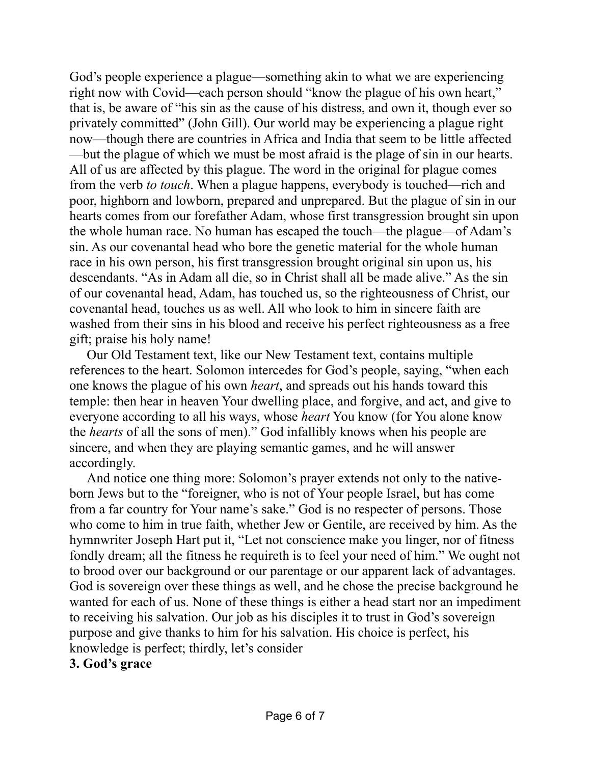God's people experience a plague—something akin to what we are experiencing right now with Covid—each person should "know the plague of his own heart," that is, be aware of "his sin as the cause of his distress, and own it, though ever so privately committed" (John Gill). Our world may be experiencing a plague right now—though there are countries in Africa and India that seem to be little affected —but the plague of which we must be most afraid is the plage of sin in our hearts. All of us are affected by this plague. The word in the original for plague comes from the verb *to touch*. When a plague happens, everybody is touched—rich and poor, highborn and lowborn, prepared and unprepared. But the plague of sin in our hearts comes from our forefather Adam, whose first transgression brought sin upon the whole human race. No human has escaped the touch—the plague—of Adam's sin. As our covenantal head who bore the genetic material for the whole human race in his own person, his first transgression brought original sin upon us, his descendants. "As in Adam all die, so in Christ shall all be made alive." As the sin of our covenantal head, Adam, has touched us, so the righteousness of Christ, our covenantal head, touches us as well. All who look to him in sincere faith are washed from their sins in his blood and receive his perfect righteousness as a free gift; praise his holy name!

Our Old Testament text, like our New Testament text, contains multiple references to the heart. Solomon intercedes for God's people, saying, "when each one knows the plague of his own *heart*, and spreads out his hands toward this temple: then hear in heaven Your dwelling place, and forgive, and act, and give to everyone according to all his ways, whose *heart* You know (for You alone know the *hearts* of all the sons of men)." God infallibly knows when his people are sincere, and when they are playing semantic games, and he will answer accordingly.

And notice one thing more: Solomon's prayer extends not only to the nativeborn Jews but to the "foreigner, who is not of Your people Israel, but has come from a far country for Your name's sake." God is no respecter of persons. Those who come to him in true faith, whether Jew or Gentile, are received by him. As the hymnwriter Joseph Hart put it, "Let not conscience make you linger, nor of fitness fondly dream; all the fitness he requireth is to feel your need of him." We ought not to brood over our background or our parentage or our apparent lack of advantages. God is sovereign over these things as well, and he chose the precise background he wanted for each of us. None of these things is either a head start nor an impediment to receiving his salvation. Our job as his disciples it to trust in God's sovereign purpose and give thanks to him for his salvation. His choice is perfect, his knowledge is perfect; thirdly, let's consider

## **3. God's grace**